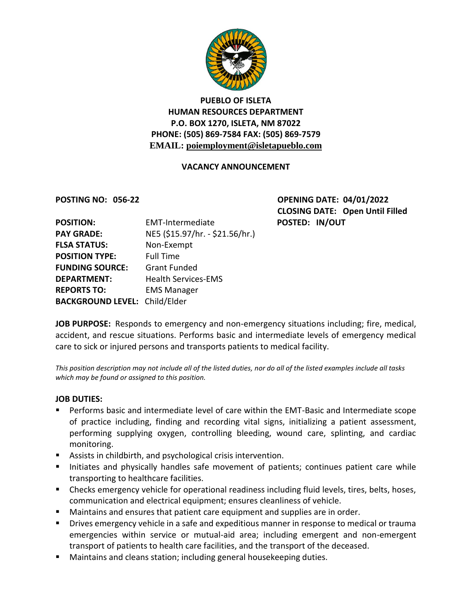

# **PUEBLO OF ISLETA HUMAN RESOURCES DEPARTMENT P.O. BOX 1270, ISLETA, NM 87022 PHONE: (505) 869-7584 FAX: (505) 869-7579 EMAIL: poiemployment@isletapueblo.com**

#### **VACANCY ANNOUNCEMENT**

**POSTING NO: 056-22 OPENING DATE: 04/01/2022 CLOSING DATE: Open Until Filled POSTED: IN/OUT** 

| <b>POSITION:</b>                     | <b>EMT-Intermediate</b>         |
|--------------------------------------|---------------------------------|
| <b>PAY GRADE:</b>                    | NE5 (\$15.97/hr. - \$21.56/hr.) |
| <b>FLSA STATUS:</b>                  | Non-Exempt                      |
| <b>POSITION TYPE:</b>                | <b>Full Time</b>                |
| <b>FUNDING SOURCE:</b>               | <b>Grant Funded</b>             |
| <b>DEPARTMENT:</b>                   | <b>Health Services-EMS</b>      |
| <b>REPORTS TO:</b>                   | <b>EMS Manager</b>              |
| <b>BACKGROUND LEVEL: Child/Elder</b> |                                 |

**JOB PURPOSE:** Responds to emergency and non-emergency situations including; fire, medical, accident, and rescue situations. Performs basic and intermediate levels of emergency medical care to sick or injured persons and transports patients to medical facility.

*This position description may not include all of the listed duties, nor do all of the listed examples include all tasks which may be found or assigned to this position.*

#### **JOB DUTIES:**

- Performs basic and intermediate level of care within the EMT-Basic and Intermediate scope of practice including, finding and recording vital signs, initializing a patient assessment, performing supplying oxygen, controlling bleeding, wound care, splinting, and cardiac monitoring.
- Assists in childbirth, and psychological crisis intervention.
- Initiates and physically handles safe movement of patients; continues patient care while transporting to healthcare facilities.
- Checks emergency vehicle for operational readiness including fluid levels, tires, belts, hoses, communication and electrical equipment; ensures cleanliness of vehicle.
- **Maintains and ensures that patient care equipment and supplies are in order.**
- **Drives emergency vehicle in a safe and expeditious manner in response to medical or trauma** emergencies within service or mutual-aid area; including emergent and non-emergent transport of patients to health care facilities, and the transport of the deceased.
- Maintains and cleans station; including general housekeeping duties.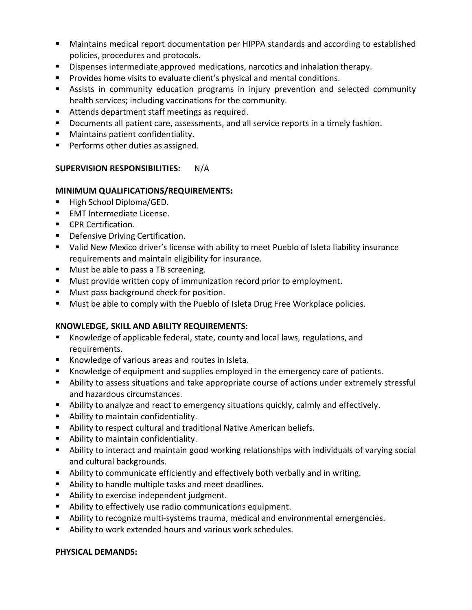- Maintains medical report documentation per HIPPA standards and according to established policies, procedures and protocols.
- **Dispenses intermediate approved medications, narcotics and inhalation therapy.**
- **Provides home visits to evaluate client's physical and mental conditions.**
- Assists in community education programs in injury prevention and selected community health services; including vaccinations for the community.
- Attends department staff meetings as required.
- **Documents all patient care, assessments, and all service reports in a timely fashion.**
- **Maintains patient confidentiality.**
- **Performs other duties as assigned.**

## **SUPERVISION RESPONSIBILITIES:** N/A

## **MINIMUM QUALIFICATIONS/REQUIREMENTS:**

- High School Diploma/GED.
- **EMT Intermediate License.**
- **CPR Certification.**
- **•** Defensive Driving Certification.
- Valid New Mexico driver's license with ability to meet Pueblo of Isleta liability insurance requirements and maintain eligibility for insurance.
- **Must be able to pass a TB screening.**
- **Must provide written copy of immunization record prior to employment.**
- **Must pass background check for position.**
- **Must be able to comply with the Pueblo of Isleta Drug Free Workplace policies.**

## **KNOWLEDGE, SKILL AND ABILITY REQUIREMENTS:**

- Knowledge of applicable federal, state, county and local laws, regulations, and requirements.
- Knowledge of various areas and routes in Isleta.
- Knowledge of equipment and supplies employed in the emergency care of patients.
- Ability to assess situations and take appropriate course of actions under extremely stressful and hazardous circumstances.
- Ability to analyze and react to emergency situations quickly, calmly and effectively.
- **Ability to maintain confidentiality.**
- Ability to respect cultural and traditional Native American beliefs.
- Ability to maintain confidentiality.
- Ability to interact and maintain good working relationships with individuals of varying social and cultural backgrounds.
- Ability to communicate efficiently and effectively both verbally and in writing.
- Ability to handle multiple tasks and meet deadlines.
- **Ability to exercise independent judgment.**
- Ability to effectively use radio communications equipment.
- Ability to recognize multi-systems trauma, medical and environmental emergencies.
- Ability to work extended hours and various work schedules.

## **PHYSICAL DEMANDS:**